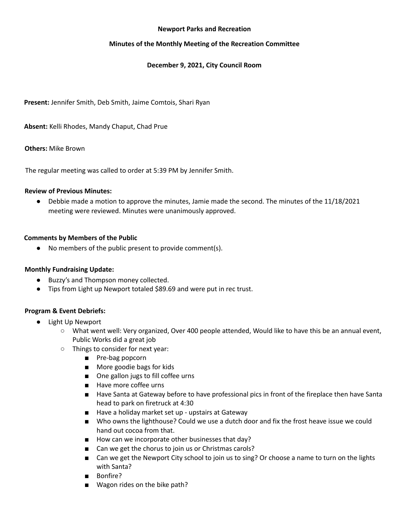#### **Newport Parks and Recreation**

# **Minutes of the Monthly Meeting of the Recreation Committee**

# **December 9, 2021, City Council Room**

**Present:** Jennifer Smith, Deb Smith, Jaime Comtois, Shari Ryan

**Absent:** Kelli Rhodes, Mandy Chaput, Chad Prue

**Others:** Mike Brown

The regular meeting was called to order at 5:39 PM by Jennifer Smith.

### **Review of Previous Minutes:**

● Debbie made a motion to approve the minutes, Jamie made the second. The minutes of the 11/18/2021 meeting were reviewed. Minutes were unanimously approved.

### **Comments by Members of the Public**

● No members of the public present to provide comment(s).

# **Monthly Fundraising Update:**

- Buzzy's and Thompson money collected.
- Tips from Light up Newport totaled \$89.69 and were put in rec trust.

# **Program & Event Debriefs:**

- Light Up Newport
	- What went well: Very organized, Over 400 people attended, Would like to have this be an annual event, Public Works did a great job
	- Things to consider for next year:
		- Pre-bag popcorn
		- More goodie bags for kids
		- One gallon jugs to fill coffee urns
		- Have more coffee urns
		- Have Santa at Gateway before to have professional pics in front of the fireplace then have Santa head to park on firetruck at 4:30
		- Have a holiday market set up upstairs at Gateway
		- Who owns the lighthouse? Could we use a dutch door and fix the frost heave issue we could hand out cocoa from that.
		- How can we incorporate other businesses that day?
		- Can we get the chorus to join us or Christmas carols?
		- Can we get the Newport City school to join us to sing? Or choose a name to turn on the lights with Santa?
		- Bonfire?
		- Wagon rides on the bike path?